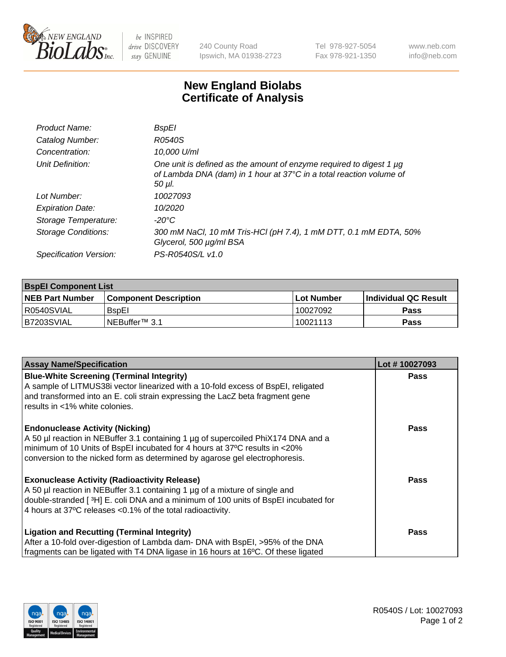

be INSPIRED drive DISCOVERY stay GENUINE

240 County Road Ipswich, MA 01938-2723 Tel 978-927-5054 Fax 978-921-1350 www.neb.com info@neb.com

## **New England Biolabs Certificate of Analysis**

| Product Name:              | <b>BspEI</b>                                                                                                                                                |
|----------------------------|-------------------------------------------------------------------------------------------------------------------------------------------------------------|
| Catalog Number:            | R0540S                                                                                                                                                      |
| Concentration:             | 10,000 U/ml                                                                                                                                                 |
| Unit Definition:           | One unit is defined as the amount of enzyme required to digest 1 µg<br>of Lambda DNA (dam) in 1 hour at 37°C in a total reaction volume of<br>$50$ $\mu$ l. |
| Lot Number:                | 10027093                                                                                                                                                    |
| <b>Expiration Date:</b>    | 10/2020                                                                                                                                                     |
| Storage Temperature:       | $-20^{\circ}$ C                                                                                                                                             |
| <b>Storage Conditions:</b> | 300 mM NaCl, 10 mM Tris-HCl (pH 7.4), 1 mM DTT, 0.1 mM EDTA, 50%<br>Glycerol, 500 µg/ml BSA                                                                 |
| Specification Version:     | PS-R0540S/L v1.0                                                                                                                                            |

| <b>BspEl Component List</b> |                              |             |                       |  |  |
|-----------------------------|------------------------------|-------------|-----------------------|--|--|
| <b>NEB Part Number</b>      | <b>Component Description</b> | ⊺Lot Number | ∣Individual QC Result |  |  |
| l R0540SVIAL                | <b>B</b> spEI                | 10027092    | <b>Pass</b>           |  |  |
| I B7203SVIAL                | INEBuffer™ 3.1               | 10021113    | <b>Pass</b>           |  |  |

| <b>Assay Name/Specification</b>                                                    | Lot #10027093 |
|------------------------------------------------------------------------------------|---------------|
| <b>Blue-White Screening (Terminal Integrity)</b>                                   | <b>Pass</b>   |
| A sample of LITMUS38i vector linearized with a 10-fold excess of BspEI, religated  |               |
| and transformed into an E. coli strain expressing the LacZ beta fragment gene      |               |
| results in <1% white colonies.                                                     |               |
| <b>Endonuclease Activity (Nicking)</b>                                             | <b>Pass</b>   |
| A 50 µl reaction in NEBuffer 3.1 containing 1 µg of supercoiled PhiX174 DNA and a  |               |
| minimum of 10 Units of BspEI incubated for 4 hours at 37°C results in <20%         |               |
| conversion to the nicked form as determined by agarose gel electrophoresis.        |               |
| <b>Exonuclease Activity (Radioactivity Release)</b>                                | Pass          |
| A 50 µl reaction in NEBuffer 3.1 containing 1 µg of a mixture of single and        |               |
| double-stranded [3H] E. coli DNA and a minimum of 100 units of BspEI incubated for |               |
| 4 hours at 37°C releases < 0.1% of the total radioactivity.                        |               |
| <b>Ligation and Recutting (Terminal Integrity)</b>                                 | <b>Pass</b>   |
| After a 10-fold over-digestion of Lambda dam- DNA with BspEI, >95% of the DNA      |               |
| fragments can be ligated with T4 DNA ligase in 16 hours at 16°C. Of these ligated  |               |